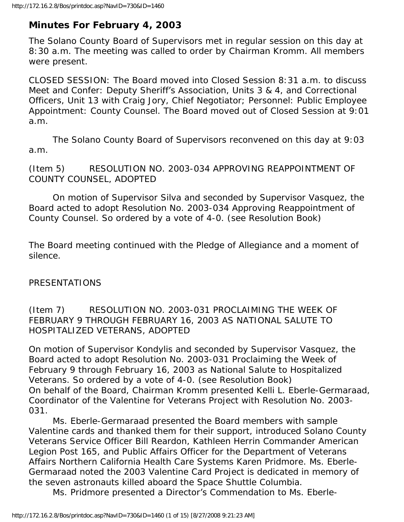# **Minutes For February 4, 2003**

The Solano County Board of Supervisors met in regular session on this day at 8:30 a.m. The meeting was called to order by Chairman Kromm. All members were present.

CLOSED SESSION: The Board moved into Closed Session 8:31 a.m. to discuss Meet and Confer: Deputy Sheriff's Association, Units 3 & 4, and Correctional Officers, Unit 13 with Craig Jory, Chief Negotiator; Personnel: Public Employee Appointment: County Counsel. The Board moved out of Closed Session at 9:01 a.m.

 The Solano County Board of Supervisors reconvened on this day at 9:03 a.m.

(Item 5) RESOLUTION NO. 2003-034 APPROVING REAPPOINTMENT OF COUNTY COUNSEL, ADOPTED

 On motion of Supervisor Silva and seconded by Supervisor Vasquez, the Board acted to adopt Resolution No. 2003-034 Approving Reappointment of County Counsel. So ordered by a vote of 4-0. (see Resolution Book)

The Board meeting continued with the Pledge of Allegiance and a moment of silence.

## PRESENTATIONS

(Item 7) RESOLUTION NO. 2003-031 PROCLAIMING THE WEEK OF FEBRUARY 9 THROUGH FEBRUARY 16, 2003 AS NATIONAL SALUTE TO HOSPITALIZED VETERANS, ADOPTED

On motion of Supervisor Kondylis and seconded by Supervisor Vasquez, the Board acted to adopt Resolution No. 2003-031 Proclaiming the Week of February 9 through February 16, 2003 as National Salute to Hospitalized Veterans. So ordered by a vote of 4-0. (see Resolution Book) On behalf of the Board, Chairman Kromm presented Kelli L. Eberle-Germaraad, Coordinator of the Valentine for Veterans Project with Resolution No. 2003- 031.

 Ms. Eberle-Germaraad presented the Board members with sample Valentine cards and thanked them for their support, introduced Solano County Veterans Service Officer Bill Reardon, Kathleen Herrin Commander American Legion Post 165, and Public Affairs Officer for the Department of Veterans Affairs Northern California Health Care Systems Karen Pridmore. Ms. Eberle-Germaraad noted the 2003 Valentine Card Project is dedicated in memory of the seven astronauts killed aboard the Space Shuttle Columbia.

Ms. Pridmore presented a Director's Commendation to Ms. Eberle-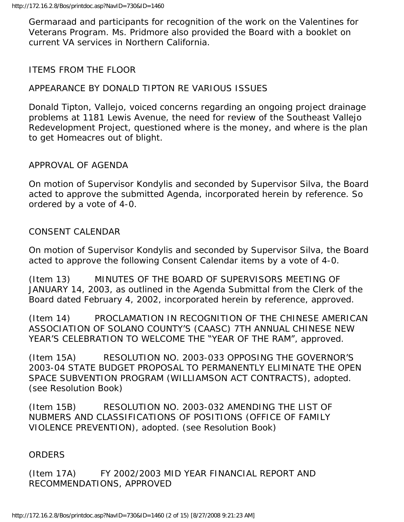Germaraad and participants for recognition of the work on the Valentines for Veterans Program. Ms. Pridmore also provided the Board with a booklet on current VA services in Northern California.

# ITEMS FROM THE FLOOR

# APPEARANCE BY DONALD TIPTON RE VARIOUS ISSUES

Donald Tipton, Vallejo, voiced concerns regarding an ongoing project drainage problems at 1181 Lewis Avenue, the need for review of the Southeast Vallejo Redevelopment Project, questioned where is the money, and where is the plan to get Homeacres out of blight.

## APPROVAL OF AGENDA

On motion of Supervisor Kondylis and seconded by Supervisor Silva, the Board acted to approve the submitted Agenda, incorporated herein by reference. So ordered by a vote of 4-0.

#### CONSENT CALENDAR

On motion of Supervisor Kondylis and seconded by Supervisor Silva, the Board acted to approve the following Consent Calendar items by a vote of 4-0.

(Item 13) MINUTES OF THE BOARD OF SUPERVISORS MEETING OF JANUARY 14, 2003, as outlined in the Agenda Submittal from the Clerk of the Board dated February 4, 2002, incorporated herein by reference, approved.

(Item 14) PROCLAMATION IN RECOGNITION OF THE CHINESE AMERICAN ASSOCIATION OF SOLANO COUNTY'S (CAASC) 7TH ANNUAL CHINESE NEW YEAR'S CELEBRATION TO WELCOME THE "YEAR OF THE RAM", approved.

(Item 15A) RESOLUTION NO. 2003-033 OPPOSING THE GOVERNOR'S 2003-04 STATE BUDGET PROPOSAL TO PERMANENTLY ELIMINATE THE OPEN SPACE SUBVENTION PROGRAM (WILLIAMSON ACT CONTRACTS), adopted. (see Resolution Book)

(Item 15B) RESOLUTION NO. 2003-032 AMENDING THE LIST OF NUBMERS AND CLASSIFICATIONS OF POSITIONS (OFFICE OF FAMILY VIOLENCE PREVENTION), adopted. (see Resolution Book)

#### **ORDERS**

(Item 17A) FY 2002/2003 MID YEAR FINANCIAL REPORT AND RECOMMENDATIONS, APPROVED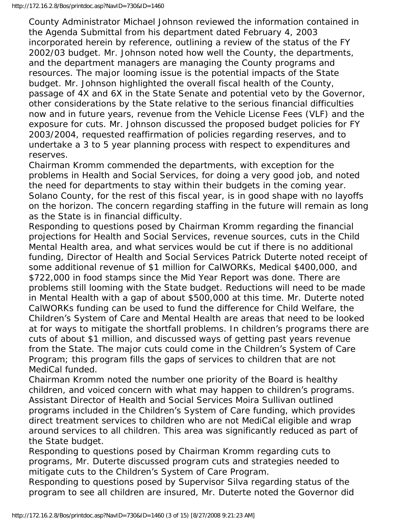County Administrator Michael Johnson reviewed the information contained in the Agenda Submittal from his department dated February 4, 2003 incorporated herein by reference, outlining a review of the status of the FY 2002/03 budget. Mr. Johnson noted how well the County, the departments, and the department managers are managing the County programs and resources. The major looming issue is the potential impacts of the State budget. Mr. Johnson highlighted the overall fiscal health of the County, passage of 4X and 6X in the State Senate and potential veto by the Governor, other considerations by the State relative to the serious financial difficulties now and in future years, revenue from the Vehicle License Fees (VLF) and the exposure for cuts. Mr. Johnson discussed the proposed budget policies for FY 2003/2004, requested reaffirmation of policies regarding reserves, and to undertake a 3 to 5 year planning process with respect to expenditures and reserves.

Chairman Kromm commended the departments, with exception for the problems in Health and Social Services, for doing a very good job, and noted the need for departments to stay within their budgets in the coming year. Solano County, for the rest of this fiscal year, is in good shape with no layoffs on the horizon. The concern regarding staffing in the future will remain as long as the State is in financial difficulty.

Responding to questions posed by Chairman Kromm regarding the financial projections for Health and Social Services, revenue sources, cuts in the Child Mental Health area, and what services would be cut if there is no additional funding, Director of Health and Social Services Patrick Duterte noted receipt of some additional revenue of \$1 million for CalWORKs, Medical \$400,000, and \$722,000 in food stamps since the Mid Year Report was done. There are problems still looming with the State budget. Reductions will need to be made in Mental Health with a gap of about \$500,000 at this time. Mr. Duterte noted CalWORKs funding can be used to fund the difference for Child Welfare, the Children's System of Care and Mental Health are areas that need to be looked at for ways to mitigate the shortfall problems. In children's programs there are cuts of about \$1 million, and discussed ways of getting past years revenue from the State. The major cuts could come in the Children's System of Care Program; this program fills the gaps of services to children that are not MediCal funded.

Chairman Kromm noted the number one priority of the Board is healthy children, and voiced concern with what may happen to children's programs. Assistant Director of Health and Social Services Moira Sullivan outlined programs included in the Children's System of Care funding, which provides direct treatment services to children who are not MediCal eligible and wrap around services to all children. This area was significantly reduced as part of the State budget.

Responding to questions posed by Chairman Kromm regarding cuts to programs, Mr. Duterte discussed program cuts and strategies needed to mitigate cuts to the Children's System of Care Program.

Responding to questions posed by Supervisor Silva regarding status of the program to see all children are insured, Mr. Duterte noted the Governor did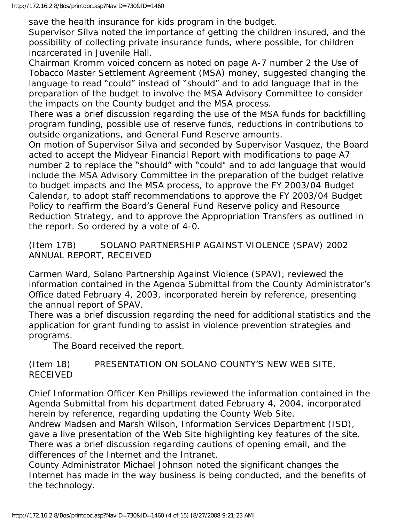save the health insurance for kids program in the budget.

Supervisor Silva noted the importance of getting the children insured, and the possibility of collecting private insurance funds, where possible, for children incarcerated in Juvenile Hall.

Chairman Kromm voiced concern as noted on page A-7 number 2 the Use of Tobacco Master Settlement Agreement (MSA) money, suggested changing the language to read "could" instead of "should" and to add language that in the preparation of the budget to involve the MSA Advisory Committee to consider the impacts on the County budget and the MSA process.

There was a brief discussion regarding the use of the MSA funds for backfilling program funding, possible use of reserve funds, reductions in contributions to outside organizations, and General Fund Reserve amounts.

On motion of Supervisor Silva and seconded by Supervisor Vasquez, the Board acted to accept the Midyear Financial Report with modifications to page A7 number 2 to replace the "should" with "could" and to add language that would include the MSA Advisory Committee in the preparation of the budget relative to budget impacts and the MSA process, to approve the FY 2003/04 Budget Calendar, to adopt staff recommendations to approve the FY 2003/04 Budget Policy to reaffirm the Board's General Fund Reserve policy and Resource Reduction Strategy, and to approve the Appropriation Transfers as outlined in the report. So ordered by a vote of 4-0.

(Item 17B) SOLANO PARTNERSHIP AGAINST VIOLENCE (SPAV) 2002 ANNUAL REPORT, RECEIVED

Carmen Ward, Solano Partnership Against Violence (SPAV), reviewed the information contained in the Agenda Submittal from the County Administrator's Office dated February 4, 2003, incorporated herein by reference, presenting the annual report of SPAV.

There was a brief discussion regarding the need for additional statistics and the application for grant funding to assist in violence prevention strategies and programs.

The Board received the report.

(Item 18) PRESENTATION ON SOLANO COUNTY'S NEW WEB SITE, RECEIVED

Chief Information Officer Ken Phillips reviewed the information contained in the Agenda Submittal from his department dated February 4, 2004, incorporated herein by reference, regarding updating the County Web Site.

Andrew Madsen and Marsh Wilson, Information Services Department (ISD), gave a live presentation of the Web Site highlighting key features of the site. There was a brief discussion regarding cautions of opening email, and the differences of the Internet and the Intranet.

County Administrator Michael Johnson noted the significant changes the Internet has made in the way business is being conducted, and the benefits of the technology.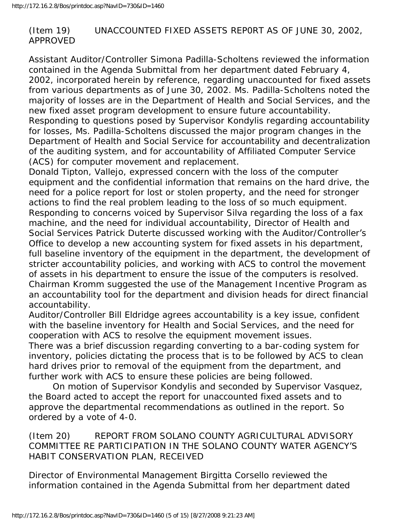# (Item 19) UNACCOUNTED FIXED ASSETS REP0RT AS OF JUNE 30, 2002, APPROVED

Assistant Auditor/Controller Simona Padilla-Scholtens reviewed the information contained in the Agenda Submittal from her department dated February 4, 2002, incorporated herein by reference, regarding unaccounted for fixed assets from various departments as of June 30, 2002. Ms. Padilla-Scholtens noted the majority of losses are in the Department of Health and Social Services, and the new fixed asset program development to ensure future accountability. Responding to questions posed by Supervisor Kondylis regarding accountability for losses, Ms. Padilla-Scholtens discussed the major program changes in the Department of Health and Social Service for accountability and decentralization of the auditing system, and for accountability of Affiliated Computer Service (ACS) for computer movement and replacement.

Donald Tipton, Vallejo, expressed concern with the loss of the computer equipment and the confidential information that remains on the hard drive, the need for a police report for lost or stolen property, and the need for stronger actions to find the real problem leading to the loss of so much equipment. Responding to concerns voiced by Supervisor Silva regarding the loss of a fax machine, and the need for individual accountability, Director of Health and Social Services Patrick Duterte discussed working with the Auditor/Controller's Office to develop a new accounting system for fixed assets in his department, full baseline inventory of the equipment in the department, the development of stricter accountability policies, and working with ACS to control the movement of assets in his department to ensure the issue of the computers is resolved. Chairman Kromm suggested the use of the Management Incentive Program as an accountability tool for the department and division heads for direct financial accountability.

Auditor/Controller Bill Eldridge agrees accountability is a key issue, confident with the baseline inventory for Health and Social Services, and the need for cooperation with ACS to resolve the equipment movement issues.

There was a brief discussion regarding converting to a bar-coding system for inventory, policies dictating the process that is to be followed by ACS to clean hard drives prior to removal of the equipment from the department, and further work with ACS to ensure these policies are being followed.

 On motion of Supervisor Kondylis and seconded by Supervisor Vasquez, the Board acted to accept the report for unaccounted fixed assets and to approve the departmental recommendations as outlined in the report. So ordered by a vote of 4-0.

(Item 20) REPORT FROM SOLANO COUNTY AGRICULTURAL ADVISORY COMMITTEE RE PARTICIPATION IN THE SOLANO COUNTY WATER AGENCY'S HABIT CONSERVATION PLAN, RECEIVED

Director of Environmental Management Birgitta Corsello reviewed the information contained in the Agenda Submittal from her department dated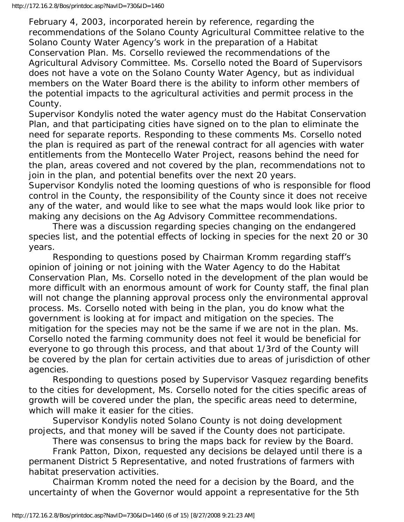February 4, 2003, incorporated herein by reference, regarding the recommendations of the Solano County Agricultural Committee relative to the Solano County Water Agency's work in the preparation of a Habitat Conservation Plan. Ms. Corsello reviewed the recommendations of the Agricultural Advisory Committee. Ms. Corsello noted the Board of Supervisors does not have a vote on the Solano County Water Agency, but as individual members on the Water Board there is the ability to inform other members of the potential impacts to the agricultural activities and permit process in the County.

Supervisor Kondylis noted the water agency must do the Habitat Conservation Plan, and that participating cities have signed on to the plan to eliminate the need for separate reports. Responding to these comments Ms. Corsello noted the plan is required as part of the renewal contract for all agencies with water entitlements from the Montecello Water Project, reasons behind the need for the plan, areas covered and not covered by the plan, recommendations not to join in the plan, and potential benefits over the next 20 years.

Supervisor Kondylis noted the looming questions of who is responsible for flood control in the County, the responsibility of the County since it does not receive any of the water, and would like to see what the maps would look like prior to making any decisions on the Ag Advisory Committee recommendations.

 There was a discussion regarding species changing on the endangered species list, and the potential effects of locking in species for the next 20 or 30 years.

 Responding to questions posed by Chairman Kromm regarding staff's opinion of joining or not joining with the Water Agency to do the Habitat Conservation Plan, Ms. Corsello noted in the development of the plan would be more difficult with an enormous amount of work for County staff, the final plan will not change the planning approval process only the environmental approval process. Ms. Corsello noted with being in the plan, you do know what the government is looking at for impact and mitigation on the species. The mitigation for the species may not be the same if we are not in the plan. Ms. Corsello noted the farming community does not feel it would be beneficial for everyone to go through this process, and that about 1/3rd of the County will be covered by the plan for certain activities due to areas of jurisdiction of other agencies.

 Responding to questions posed by Supervisor Vasquez regarding benefits to the cities for development, Ms. Corsello noted for the cities specific areas of growth will be covered under the plan, the specific areas need to determine, which will make it easier for the cities.

 Supervisor Kondylis noted Solano County is not doing development projects, and that money will be saved if the County does not participate.

There was consensus to bring the maps back for review by the Board.

 Frank Patton, Dixon, requested any decisions be delayed until there is a permanent District 5 Representative, and noted frustrations of farmers with habitat preservation activities.

 Chairman Kromm noted the need for a decision by the Board, and the uncertainty of when the Governor would appoint a representative for the 5th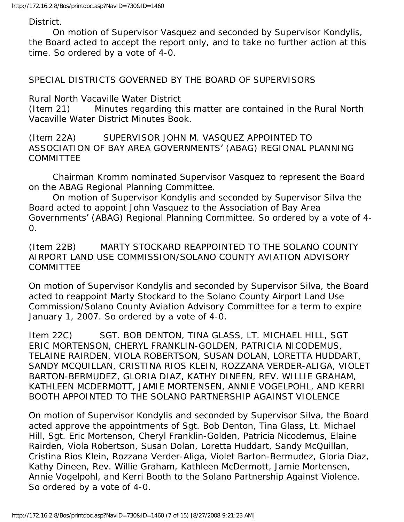District.

 On motion of Supervisor Vasquez and seconded by Supervisor Kondylis, the Board acted to accept the report only, and to take no further action at this time. So ordered by a vote of 4-0.

SPECIAL DISTRICTS GOVERNED BY THE BOARD OF SUPERVISORS

Rural North Vacaville Water District

(Item 21) Minutes regarding this matter are contained in the Rural North Vacaville Water District Minutes Book.

(Item 22A) SUPERVISOR JOHN M. VASQUEZ APPOINTED TO ASSOCIATION OF BAY AREA GOVERNMENTS' (ABAG) REGIONAL PLANNING COMMITTEE

 Chairman Kromm nominated Supervisor Vasquez to represent the Board on the ABAG Regional Planning Committee.

 On motion of Supervisor Kondylis and seconded by Supervisor Silva the Board acted to appoint John Vasquez to the Association of Bay Area Governments' (ABAG) Regional Planning Committee. So ordered by a vote of 4- 0.

(Item 22B) MARTY STOCKARD REAPPOINTED TO THE SOLANO COUNTY AIRPORT LAND USE COMMISSION/SOLANO COUNTY AVIATION ADVISORY **COMMITTEE** 

On motion of Supervisor Kondylis and seconded by Supervisor Silva, the Board acted to reappoint Marty Stockard to the Solano County Airport Land Use Commission/Solano County Aviation Advisory Committee for a term to expire January 1, 2007. So ordered by a vote of 4-0.

Item 22C) SGT. BOB DENTON, TINA GLASS, LT. MICHAEL HILL, SGT ERIC MORTENSON, CHERYL FRANKLIN-GOLDEN, PATRICIA NICODEMUS, TELAINE RAIRDEN, VIOLA ROBERTSON, SUSAN DOLAN, LORETTA HUDDART, SANDY MCQUILLAN, CRISTINA RIOS KLEIN, ROZZANA VERDER-ALIGA, VIOLET BARTON-BERMUDEZ, GLORIA DIAZ, KATHY DINEEN, REV. WILLIE GRAHAM, KATHLEEN MCDERMOTT, JAMIE MORTENSEN, ANNIE VOGELPOHL, AND KERRI BOOTH APPOINTED TO THE SOLANO PARTNERSHIP AGAINST VIOLENCE

On motion of Supervisor Kondylis and seconded by Supervisor Silva, the Board acted approve the appointments of Sgt. Bob Denton, Tina Glass, Lt. Michael Hill, Sgt. Eric Mortenson, Cheryl Franklin-Golden, Patricia Nicodemus, Elaine Rairden, Viola Robertson, Susan Dolan, Loretta Huddart, Sandy McQuillan, Cristina Rios Klein, Rozzana Verder-Aliga, Violet Barton-Bermudez, Gloria Diaz, Kathy Dineen, Rev. Willie Graham, Kathleen McDermott, Jamie Mortensen, Annie Vogelpohl, and Kerri Booth to the Solano Partnership Against Violence. So ordered by a vote of 4-0.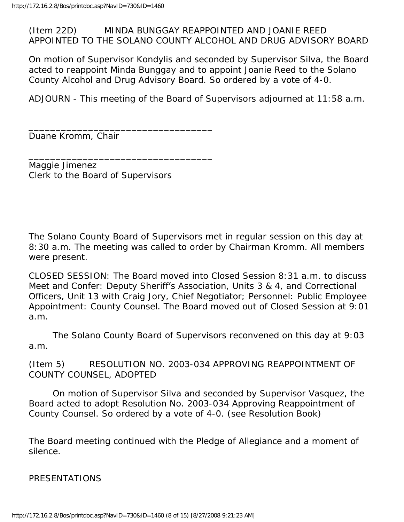#### (Item 22D) MINDA BUNGGAY REAPPOINTED AND JOANIE REED APPOINTED TO THE SOLANO COUNTY ALCOHOL AND DRUG ADVISORY BOARD

On motion of Supervisor Kondylis and seconded by Supervisor Silva, the Board acted to reappoint Minda Bunggay and to appoint Joanie Reed to the Solano County Alcohol and Drug Advisory Board. So ordered by a vote of 4-0.

ADJOURN - This meeting of the Board of Supervisors adjourned at 11:58 a.m.

Duane Kromm, Chair

Maggie Jimenez Clerk to the Board of Supervisors

\_\_\_\_\_\_\_\_\_\_\_\_\_\_\_\_\_\_\_\_\_\_\_\_\_\_\_\_\_\_\_\_\_\_

\_\_\_\_\_\_\_\_\_\_\_\_\_\_\_\_\_\_\_\_\_\_\_\_\_\_\_\_\_\_\_\_\_\_

The Solano County Board of Supervisors met in regular session on this day at 8:30 a.m. The meeting was called to order by Chairman Kromm. All members were present.

CLOSED SESSION: The Board moved into Closed Session 8:31 a.m. to discuss Meet and Confer: Deputy Sheriff's Association, Units 3 & 4, and Correctional Officers, Unit 13 with Craig Jory, Chief Negotiator; Personnel: Public Employee Appointment: County Counsel. The Board moved out of Closed Session at 9:01 a.m.

 The Solano County Board of Supervisors reconvened on this day at 9:03 a.m.

(Item 5) RESOLUTION NO. 2003-034 APPROVING REAPPOINTMENT OF COUNTY COUNSEL, ADOPTED

 On motion of Supervisor Silva and seconded by Supervisor Vasquez, the Board acted to adopt Resolution No. 2003-034 Approving Reappointment of County Counsel. So ordered by a vote of 4-0. (see Resolution Book)

The Board meeting continued with the Pledge of Allegiance and a moment of silence.

PRESENTATIONS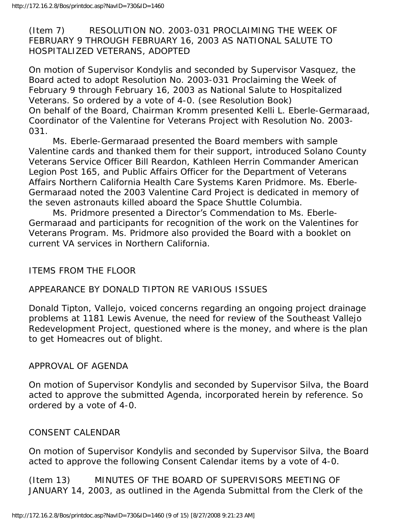(Item 7) RESOLUTION NO. 2003-031 PROCLAIMING THE WEEK OF FEBRUARY 9 THROUGH FEBRUARY 16, 2003 AS NATIONAL SALUTE TO HOSPITALIZED VETERANS, ADOPTED

On motion of Supervisor Kondylis and seconded by Supervisor Vasquez, the Board acted to adopt Resolution No. 2003-031 Proclaiming the Week of February 9 through February 16, 2003 as National Salute to Hospitalized Veterans. So ordered by a vote of 4-0. (see Resolution Book) On behalf of the Board, Chairman Kromm presented Kelli L. Eberle-Germaraad, Coordinator of the Valentine for Veterans Project with Resolution No. 2003- 031.

 Ms. Eberle-Germaraad presented the Board members with sample Valentine cards and thanked them for their support, introduced Solano County Veterans Service Officer Bill Reardon, Kathleen Herrin Commander American Legion Post 165, and Public Affairs Officer for the Department of Veterans Affairs Northern California Health Care Systems Karen Pridmore. Ms. Eberle-Germaraad noted the 2003 Valentine Card Project is dedicated in memory of the seven astronauts killed aboard the Space Shuttle Columbia.

 Ms. Pridmore presented a Director's Commendation to Ms. Eberle-Germaraad and participants for recognition of the work on the Valentines for Veterans Program. Ms. Pridmore also provided the Board with a booklet on current VA services in Northern California.

#### ITEMS FROM THE FLOOR

#### APPEARANCE BY DONALD TIPTON RE VARIOUS ISSUES

Donald Tipton, Vallejo, voiced concerns regarding an ongoing project drainage problems at 1181 Lewis Avenue, the need for review of the Southeast Vallejo Redevelopment Project, questioned where is the money, and where is the plan to get Homeacres out of blight.

#### APPROVAL OF AGENDA

On motion of Supervisor Kondylis and seconded by Supervisor Silva, the Board acted to approve the submitted Agenda, incorporated herein by reference. So ordered by a vote of 4-0.

#### CONSENT CALENDAR

On motion of Supervisor Kondylis and seconded by Supervisor Silva, the Board acted to approve the following Consent Calendar items by a vote of 4-0.

(Item 13) MINUTES OF THE BOARD OF SUPERVISORS MEETING OF JANUARY 14, 2003, as outlined in the Agenda Submittal from the Clerk of the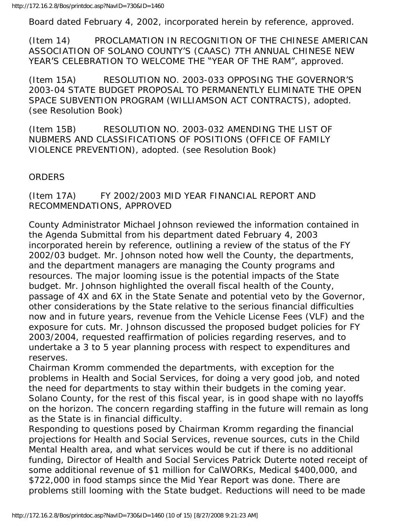Board dated February 4, 2002, incorporated herein by reference, approved.

(Item 14) PROCLAMATION IN RECOGNITION OF THE CHINESE AMERICAN ASSOCIATION OF SOLANO COUNTY'S (CAASC) 7TH ANNUAL CHINESE NEW YEAR'S CELEBRATION TO WELCOME THE "YEAR OF THE RAM", approved.

(Item 15A) RESOLUTION NO. 2003-033 OPPOSING THE GOVERNOR'S 2003-04 STATE BUDGET PROPOSAL TO PERMANENTLY ELIMINATE THE OPEN SPACE SUBVENTION PROGRAM (WILLIAMSON ACT CONTRACTS), adopted. (see Resolution Book)

(Item 15B) RESOLUTION NO. 2003-032 AMENDING THE LIST OF NUBMERS AND CLASSIFICATIONS OF POSITIONS (OFFICE OF FAMILY VIOLENCE PREVENTION), adopted. (see Resolution Book)

# **ORDERS**

# (Item 17A) FY 2002/2003 MID YEAR FINANCIAL REPORT AND RECOMMENDATIONS, APPROVED

County Administrator Michael Johnson reviewed the information contained in the Agenda Submittal from his department dated February 4, 2003 incorporated herein by reference, outlining a review of the status of the FY 2002/03 budget. Mr. Johnson noted how well the County, the departments, and the department managers are managing the County programs and resources. The major looming issue is the potential impacts of the State budget. Mr. Johnson highlighted the overall fiscal health of the County, passage of 4X and 6X in the State Senate and potential veto by the Governor, other considerations by the State relative to the serious financial difficulties now and in future years, revenue from the Vehicle License Fees (VLF) and the exposure for cuts. Mr. Johnson discussed the proposed budget policies for FY 2003/2004, requested reaffirmation of policies regarding reserves, and to undertake a 3 to 5 year planning process with respect to expenditures and reserves.

Chairman Kromm commended the departments, with exception for the problems in Health and Social Services, for doing a very good job, and noted the need for departments to stay within their budgets in the coming year. Solano County, for the rest of this fiscal year, is in good shape with no layoffs on the horizon. The concern regarding staffing in the future will remain as long as the State is in financial difficulty.

Responding to questions posed by Chairman Kromm regarding the financial projections for Health and Social Services, revenue sources, cuts in the Child Mental Health area, and what services would be cut if there is no additional funding, Director of Health and Social Services Patrick Duterte noted receipt of some additional revenue of \$1 million for CalWORKs, Medical \$400,000, and \$722,000 in food stamps since the Mid Year Report was done. There are problems still looming with the State budget. Reductions will need to be made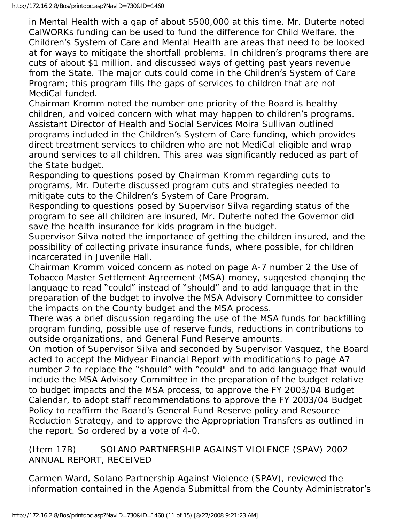in Mental Health with a gap of about \$500,000 at this time. Mr. Duterte noted CalWORKs funding can be used to fund the difference for Child Welfare, the Children's System of Care and Mental Health are areas that need to be looked at for ways to mitigate the shortfall problems. In children's programs there are cuts of about \$1 million, and discussed ways of getting past years revenue from the State. The major cuts could come in the Children's System of Care Program; this program fills the gaps of services to children that are not MediCal funded.

Chairman Kromm noted the number one priority of the Board is healthy children, and voiced concern with what may happen to children's programs. Assistant Director of Health and Social Services Moira Sullivan outlined programs included in the Children's System of Care funding, which provides direct treatment services to children who are not MediCal eligible and wrap around services to all children. This area was significantly reduced as part of the State budget.

Responding to questions posed by Chairman Kromm regarding cuts to programs, Mr. Duterte discussed program cuts and strategies needed to mitigate cuts to the Children's System of Care Program.

Responding to questions posed by Supervisor Silva regarding status of the program to see all children are insured, Mr. Duterte noted the Governor did save the health insurance for kids program in the budget.

Supervisor Silva noted the importance of getting the children insured, and the possibility of collecting private insurance funds, where possible, for children incarcerated in Juvenile Hall.

Chairman Kromm voiced concern as noted on page A-7 number 2 the Use of Tobacco Master Settlement Agreement (MSA) money, suggested changing the language to read "could" instead of "should" and to add language that in the preparation of the budget to involve the MSA Advisory Committee to consider the impacts on the County budget and the MSA process.

There was a brief discussion regarding the use of the MSA funds for backfilling program funding, possible use of reserve funds, reductions in contributions to outside organizations, and General Fund Reserve amounts.

On motion of Supervisor Silva and seconded by Supervisor Vasquez, the Board acted to accept the Midyear Financial Report with modifications to page A7 number 2 to replace the "should" with "could" and to add language that would include the MSA Advisory Committee in the preparation of the budget relative to budget impacts and the MSA process, to approve the FY 2003/04 Budget Calendar, to adopt staff recommendations to approve the FY 2003/04 Budget Policy to reaffirm the Board's General Fund Reserve policy and Resource Reduction Strategy, and to approve the Appropriation Transfers as outlined in the report. So ordered by a vote of 4-0.

(Item 17B) SOLANO PARTNERSHIP AGAINST VIOLENCE (SPAV) 2002 ANNUAL REPORT, RECEIVED

Carmen Ward, Solano Partnership Against Violence (SPAV), reviewed the information contained in the Agenda Submittal from the County Administrator's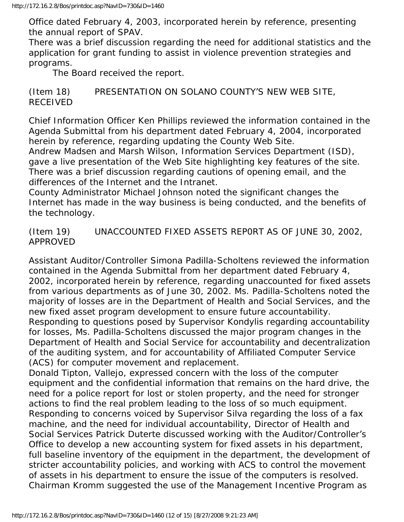Office dated February 4, 2003, incorporated herein by reference, presenting the annual report of SPAV.

There was a brief discussion regarding the need for additional statistics and the application for grant funding to assist in violence prevention strategies and programs.

The Board received the report.

(Item 18) PRESENTATION ON SOLANO COUNTY'S NEW WEB SITE, RECEIVED

Chief Information Officer Ken Phillips reviewed the information contained in the Agenda Submittal from his department dated February 4, 2004, incorporated herein by reference, regarding updating the County Web Site.

Andrew Madsen and Marsh Wilson, Information Services Department (ISD), gave a live presentation of the Web Site highlighting key features of the site. There was a brief discussion regarding cautions of opening email, and the differences of the Internet and the Intranet.

County Administrator Michael Johnson noted the significant changes the Internet has made in the way business is being conducted, and the benefits of the technology.

(Item 19) UNACCOUNTED FIXED ASSETS REP0RT AS OF JUNE 30, 2002, APPROVED

Assistant Auditor/Controller Simona Padilla-Scholtens reviewed the information contained in the Agenda Submittal from her department dated February 4, 2002, incorporated herein by reference, regarding unaccounted for fixed assets from various departments as of June 30, 2002. Ms. Padilla-Scholtens noted the majority of losses are in the Department of Health and Social Services, and the new fixed asset program development to ensure future accountability. Responding to questions posed by Supervisor Kondylis regarding accountability for losses, Ms. Padilla-Scholtens discussed the major program changes in the Department of Health and Social Service for accountability and decentralization of the auditing system, and for accountability of Affiliated Computer Service (ACS) for computer movement and replacement.

Donald Tipton, Vallejo, expressed concern with the loss of the computer equipment and the confidential information that remains on the hard drive, the need for a police report for lost or stolen property, and the need for stronger actions to find the real problem leading to the loss of so much equipment. Responding to concerns voiced by Supervisor Silva regarding the loss of a fax machine, and the need for individual accountability, Director of Health and Social Services Patrick Duterte discussed working with the Auditor/Controller's Office to develop a new accounting system for fixed assets in his department, full baseline inventory of the equipment in the department, the development of stricter accountability policies, and working with ACS to control the movement of assets in his department to ensure the issue of the computers is resolved. Chairman Kromm suggested the use of the Management Incentive Program as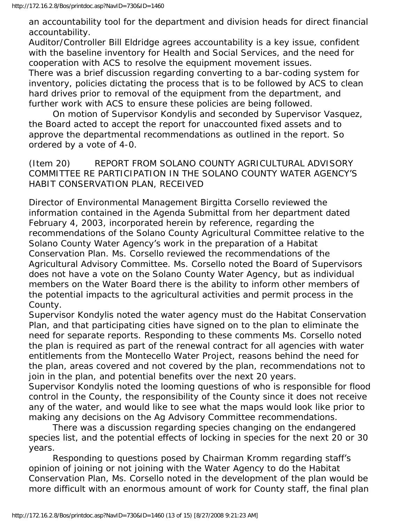an accountability tool for the department and division heads for direct financial accountability.

Auditor/Controller Bill Eldridge agrees accountability is a key issue, confident with the baseline inventory for Health and Social Services, and the need for cooperation with ACS to resolve the equipment movement issues. There was a brief discussion regarding converting to a bar-coding system for inventory, policies dictating the process that is to be followed by ACS to clean hard drives prior to removal of the equipment from the department, and further work with ACS to ensure these policies are being followed.

 On motion of Supervisor Kondylis and seconded by Supervisor Vasquez, the Board acted to accept the report for unaccounted fixed assets and to approve the departmental recommendations as outlined in the report. So ordered by a vote of 4-0.

(Item 20) REPORT FROM SOLANO COUNTY AGRICULTURAL ADVISORY COMMITTEE RE PARTICIPATION IN THE SOLANO COUNTY WATER AGENCY'S HABIT CONSERVATION PLAN, RECEIVED

Director of Environmental Management Birgitta Corsello reviewed the information contained in the Agenda Submittal from her department dated February 4, 2003, incorporated herein by reference, regarding the recommendations of the Solano County Agricultural Committee relative to the Solano County Water Agency's work in the preparation of a Habitat Conservation Plan. Ms. Corsello reviewed the recommendations of the Agricultural Advisory Committee. Ms. Corsello noted the Board of Supervisors does not have a vote on the Solano County Water Agency, but as individual members on the Water Board there is the ability to inform other members of the potential impacts to the agricultural activities and permit process in the County.

Supervisor Kondylis noted the water agency must do the Habitat Conservation Plan, and that participating cities have signed on to the plan to eliminate the need for separate reports. Responding to these comments Ms. Corsello noted the plan is required as part of the renewal contract for all agencies with water entitlements from the Montecello Water Project, reasons behind the need for the plan, areas covered and not covered by the plan, recommendations not to join in the plan, and potential benefits over the next 20 years.

Supervisor Kondylis noted the looming questions of who is responsible for flood control in the County, the responsibility of the County since it does not receive any of the water, and would like to see what the maps would look like prior to making any decisions on the Ag Advisory Committee recommendations.

 There was a discussion regarding species changing on the endangered species list, and the potential effects of locking in species for the next 20 or 30 years.

 Responding to questions posed by Chairman Kromm regarding staff's opinion of joining or not joining with the Water Agency to do the Habitat Conservation Plan, Ms. Corsello noted in the development of the plan would be more difficult with an enormous amount of work for County staff, the final plan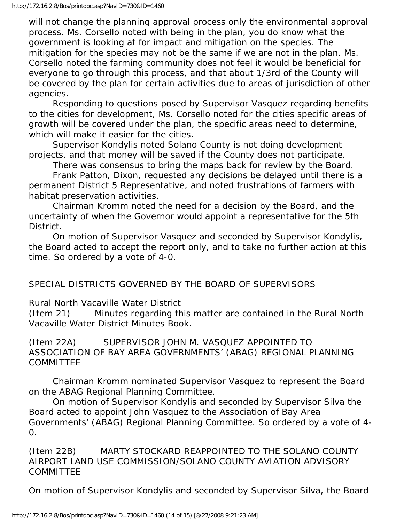will not change the planning approval process only the environmental approval process. Ms. Corsello noted with being in the plan, you do know what the government is looking at for impact and mitigation on the species. The mitigation for the species may not be the same if we are not in the plan. Ms. Corsello noted the farming community does not feel it would be beneficial for everyone to go through this process, and that about 1/3rd of the County will be covered by the plan for certain activities due to areas of jurisdiction of other agencies.

 Responding to questions posed by Supervisor Vasquez regarding benefits to the cities for development, Ms. Corsello noted for the cities specific areas of growth will be covered under the plan, the specific areas need to determine, which will make it easier for the cities.

 Supervisor Kondylis noted Solano County is not doing development projects, and that money will be saved if the County does not participate.

There was consensus to bring the maps back for review by the Board.

 Frank Patton, Dixon, requested any decisions be delayed until there is a permanent District 5 Representative, and noted frustrations of farmers with habitat preservation activities.

 Chairman Kromm noted the need for a decision by the Board, and the uncertainty of when the Governor would appoint a representative for the 5th District.

 On motion of Supervisor Vasquez and seconded by Supervisor Kondylis, the Board acted to accept the report only, and to take no further action at this time. So ordered by a vote of 4-0.

SPECIAL DISTRICTS GOVERNED BY THE BOARD OF SUPERVISORS

Rural North Vacaville Water District

(Item 21) Minutes regarding this matter are contained in the Rural North Vacaville Water District Minutes Book.

(Item 22A) SUPERVISOR JOHN M. VASQUEZ APPOINTED TO ASSOCIATION OF BAY AREA GOVERNMENTS' (ABAG) REGIONAL PLANNING COMMITTEE

 Chairman Kromm nominated Supervisor Vasquez to represent the Board on the ABAG Regional Planning Committee.

 On motion of Supervisor Kondylis and seconded by Supervisor Silva the Board acted to appoint John Vasquez to the Association of Bay Area Governments' (ABAG) Regional Planning Committee. So ordered by a vote of 4- 0.

(Item 22B) MARTY STOCKARD REAPPOINTED TO THE SOLANO COUNTY AIRPORT LAND USE COMMISSION/SOLANO COUNTY AVIATION ADVISORY COMMITTEE

On motion of Supervisor Kondylis and seconded by Supervisor Silva, the Board